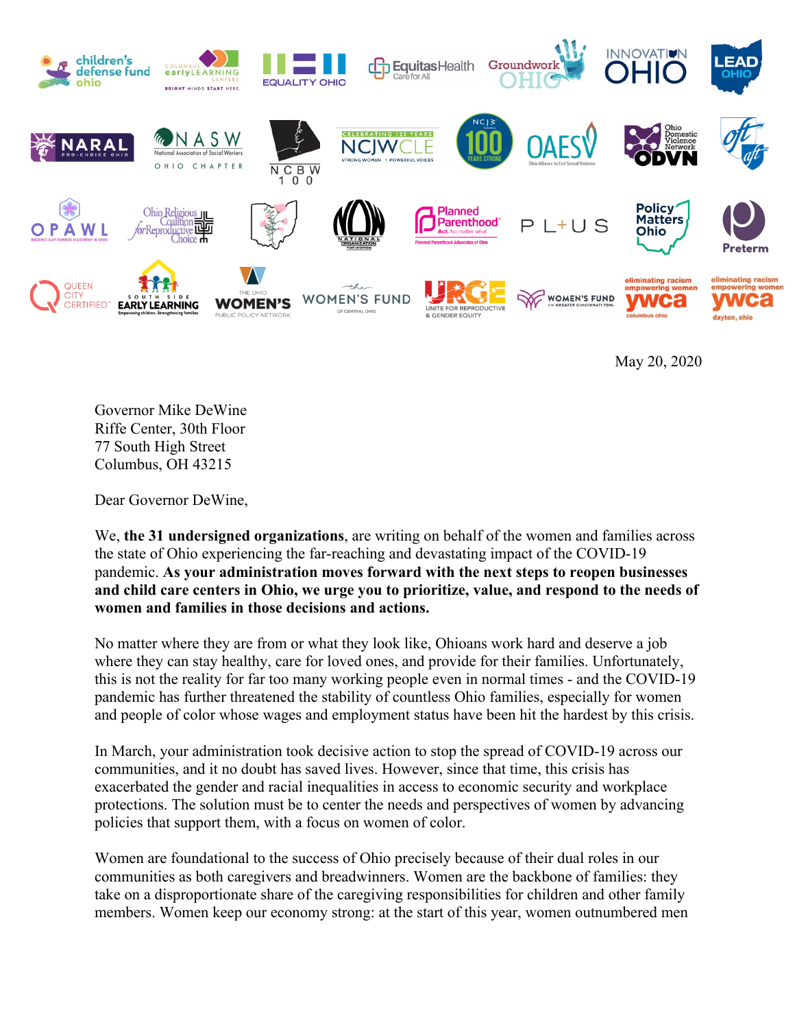

May 20, 2020

Governor Mike DeWine Riffe Center, 30th Floor 77 South High Street Columbus, OH 43215

Dear Governor DeWine,

We, **the 31 undersigned organizations**, are writing on behalf of the women and families across the state of Ohio experiencing the far-reaching and devastating impact of the COVID-19 pandemic. **As your administration moves forward with the next steps to reopen businesses and child care centers in Ohio, we urge you to prioritize, value, and respond to the needs of women and families in those decisions and actions.**

No matter where they are from or what they look like, Ohioans work hard and deserve a job where they can stay healthy, care for loved ones, and provide for their families. Unfortunately, this is not the reality for far too many working people even in normal times - and the COVID-19 pandemic has further threatened the stability of countless Ohio families, especially for women and people of color whose wages and employment status have been hit the hardest by this crisis.

In March, your administration took decisive action to stop the spread of COVID-19 across our communities, and it no doubt has saved lives. However, since that time, this crisis has exacerbated the gender and racial inequalities in access to economic security and workplace protections. The solution must be to center the needs and perspectives of women by advancing policies that support them, with a focus on women of color.

Women are foundational to the success of Ohio precisely because of their dual roles in our communities as both caregivers and breadwinners. Women are the backbone of families: they take on a disproportionate share of the caregiving responsibilities for children and other family members. Women keep our economy strong: at the start of this year, women outnumbered men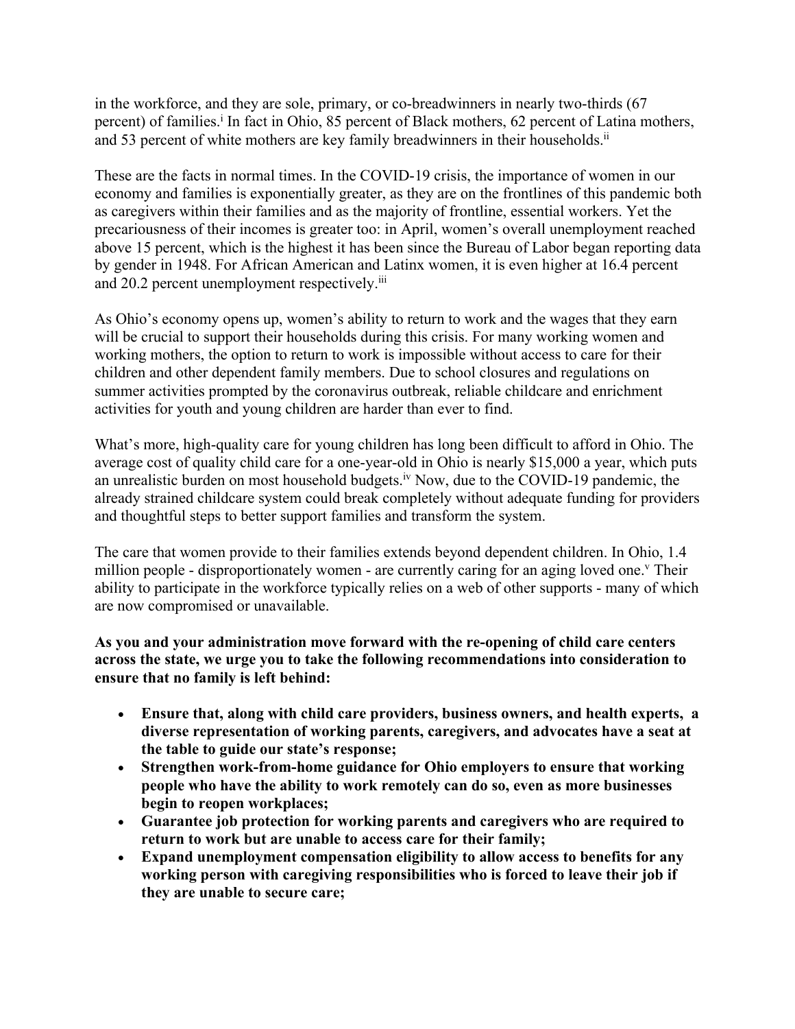in the workforce, and they are sole, primary, or co-breadwinners in nearly two-thirds (67 percent) of families.<sup>i</sup> In fact in Ohio, 85 percent of Black mothers, 62 percent of Latina mothers, and 53 percent of white mothers are key family breadwinners in their households.<sup>ii</sup>

These are the facts in normal times. In the COVID-19 crisis, the importance of women in our economy and families is exponentially greater, as they are on the frontlines of this pandemic both as caregivers within their families and as the majority of frontline, essential workers. Yet the precariousness of their incomes is greater too: in April, women's overall unemployment reached above 15 percent, which is the highest it has been since the Bureau of Labor began reporting data by gender in 1948. For African American and Latinx women, it is even higher at 16.4 percent and 20.2 percent unemployment respectively.<sup>iii</sup>

As Ohio's economy opens up, women's ability to return to work and the wages that they earn will be crucial to support their households during this crisis. For many working women and working mothers, the option to return to work is impossible without access to care for their children and other dependent family members. Due to school closures and regulations on summer activities prompted by the coronavirus outbreak, reliable childcare and enrichment activities for youth and young children are harder than ever to find.

What's more, high-quality care for young children has long been difficult to afford in Ohio. The average cost of quality child care for a one-year-old in Ohio is nearly \$15,000 a year, which puts an unrealistic burden on most household budgets.iv Now, due to the COVID-19 pandemic, the already strained childcare system could break completely without adequate funding for providers and thoughtful steps to better support families and transform the system.

The care that women provide to their families extends beyond dependent children. In Ohio, 1.4 million people - disproportionately women - are currently caring for an aging loved one.<sup>v</sup> Their ability to participate in the workforce typically relies on a web of other supports - many of which are now compromised or unavailable.

## **As you and your administration move forward with the re-opening of child care centers across the state, we urge you to take the following recommendations into consideration to ensure that no family is left behind:**

- **Ensure that, along with child care providers, business owners, and health experts, a diverse representation of working parents, caregivers, and advocates have a seat at the table to guide our state's response;**
- **Strengthen work-from-home guidance for Ohio employers to ensure that working people who have the ability to work remotely can do so, even as more businesses begin to reopen workplaces;**
- **Guarantee job protection for working parents and caregivers who are required to return to work but are unable to access care for their family;**
- **Expand unemployment compensation eligibility to allow access to benefits for any working person with caregiving responsibilities who is forced to leave their job if they are unable to secure care;**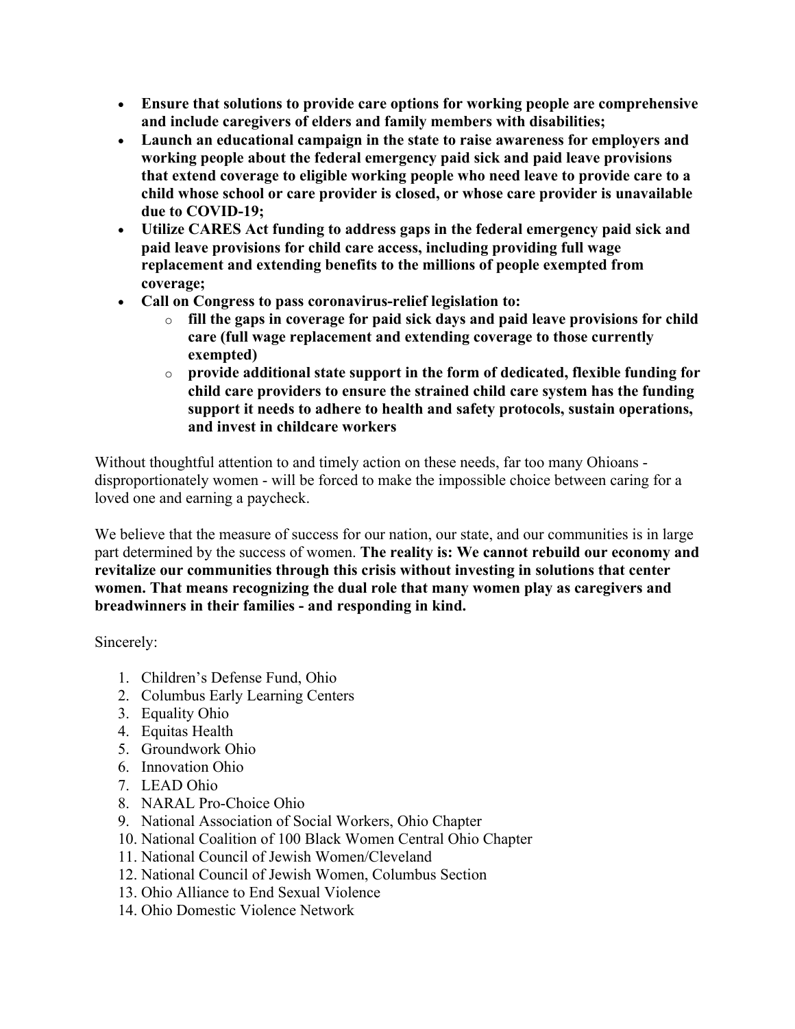- **Ensure that solutions to provide care options for working people are comprehensive and include caregivers of elders and family members with disabilities;**
- **Launch an educational campaign in the state to raise awareness for employers and working people about the federal emergency paid sick and paid leave provisions that extend coverage to eligible working people who need leave to provide care to a child whose school or care provider is closed, or whose care provider is unavailable due to COVID-19;**
- **Utilize CARES Act funding to address gaps in the federal emergency paid sick and paid leave provisions for child care access, including providing full wage replacement and extending benefits to the millions of people exempted from coverage;**
- **Call on Congress to pass coronavirus-relief legislation to:**
	- o **fill the gaps in coverage for paid sick days and paid leave provisions for child care (full wage replacement and extending coverage to those currently exempted)**
	- o **provide additional state support in the form of dedicated, flexible funding for child care providers to ensure the strained child care system has the funding support it needs to adhere to health and safety protocols, sustain operations, and invest in childcare workers**

Without thoughtful attention to and timely action on these needs, far too many Ohioans disproportionately women - will be forced to make the impossible choice between caring for a loved one and earning a paycheck.

We believe that the measure of success for our nation, our state, and our communities is in large part determined by the success of women. **The reality is: We cannot rebuild our economy and revitalize our communities through this crisis without investing in solutions that center women. That means recognizing the dual role that many women play as caregivers and breadwinners in their families - and responding in kind.**

Sincerely:

- 1. Children's Defense Fund, Ohio
- 2. Columbus Early Learning Centers
- 3. Equality Ohio
- 4. Equitas Health
- 5. Groundwork Ohio
- 6. Innovation Ohio
- 7. LEAD Ohio
- 8. NARAL Pro-Choice Ohio
- 9. National Association of Social Workers, Ohio Chapter
- 10. National Coalition of 100 Black Women Central Ohio Chapter
- 11. National Council of Jewish Women/Cleveland
- 12. National Council of Jewish Women, Columbus Section
- 13. Ohio Alliance to End Sexual Violence
- 14. Ohio Domestic Violence Network